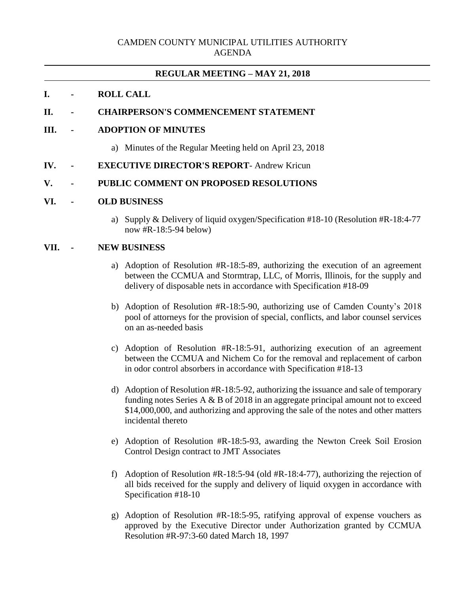## CAMDEN COUNTY MUNICIPAL UTILITIES AUTHORITY AGENDA

# **REGULAR MEETING – MAY 21, 2018**

### **I. - ROLL CALL**

# **II. - CHAIRPERSON'S COMMENCEMENT STATEMENT**

### **III. - ADOPTION OF MINUTES**

- a) Minutes of the Regular Meeting held on April 23, 2018
- **IV. - EXECUTIVE DIRECTOR'S REPORT** Andrew Kricun

### **V. - PUBLIC COMMENT ON PROPOSED RESOLUTIONS**

#### **VI. - OLD BUSINESS**

a) Supply & Delivery of liquid oxygen/Specification #18-10 (Resolution #R-18:4-77 now #R-18:5-94 below)

### **VII. - NEW BUSINESS**

- a) Adoption of Resolution #R-18:5-89, authorizing the execution of an agreement between the CCMUA and Stormtrap, LLC, of Morris, Illinois, for the supply and delivery of disposable nets in accordance with Specification #18-09
- b) Adoption of Resolution #R-18:5-90, authorizing use of Camden County's 2018 pool of attorneys for the provision of special, conflicts, and labor counsel services on an as-needed basis
- c) Adoption of Resolution #R-18:5-91, authorizing execution of an agreement between the CCMUA and Nichem Co for the removal and replacement of carbon in odor control absorbers in accordance with Specification #18-13
- d) Adoption of Resolution #R-18:5-92, authorizing the issuance and sale of temporary funding notes Series A  $&$  B of 2018 in an aggregate principal amount not to exceed \$14,000,000, and authorizing and approving the sale of the notes and other matters incidental thereto
- e) Adoption of Resolution #R-18:5-93, awarding the Newton Creek Soil Erosion Control Design contract to JMT Associates
- f) Adoption of Resolution #R-18:5-94 (old #R-18:4-77), authorizing the rejection of all bids received for the supply and delivery of liquid oxygen in accordance with Specification #18-10
- g) Adoption of Resolution #R-18:5-95, ratifying approval of expense vouchers as approved by the Executive Director under Authorization granted by CCMUA Resolution #R-97:3-60 dated March 18, 1997